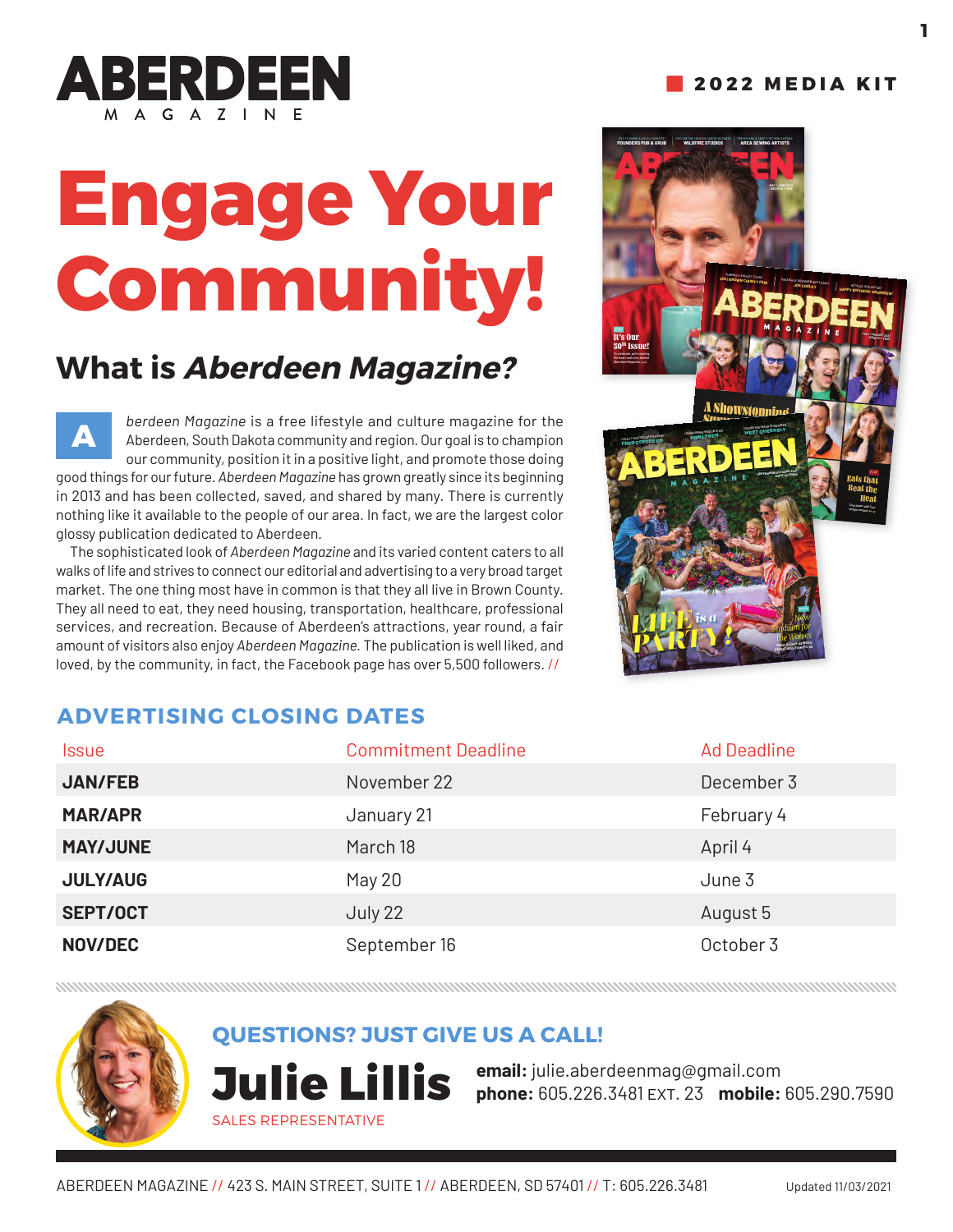

# **Engage Your Community!**

# **What is Aberdeen Magazine?**

*berdeen Magazine* is a free lifestyle and culture magazine for the Aberdeen, South Dakota community and region. Our goal is to champion our community, position it in a positive light, and promote those doing good things for our future. *Aberdeen Magazine* has grown greatly since its beginning in 2013 and has been collected, saved, and shared by many. There is currently nothing like it available to the people of our area. In fact, we are the largest color glossy publication dedicated to Aberdeen. **A**

The sophisticated look of *Aberdeen Magazine* and its varied content caters to all walks of life and strives to connect our editorial and advertising to a very broad target market. The one thing most have in common is that they all live in Brown County. They all need to eat, they need housing, transportation, healthcare, professional services, and recreation. Because of Aberdeen's attractions, year round, a fair amount of visitors also enjoy *Aberdeen Magazine.* The publication is well liked, and loved, by the community, in fact, the Facebook page has over 5,500 followers. //



### **ADVERTISING CLOSING DATES**

| <b>Issue</b>    | <b>Commitment Deadline</b> | <b>Ad Deadline</b> |
|-----------------|----------------------------|--------------------|
| <b>JAN/FEB</b>  | November 22                | December 3         |
| <b>MAR/APR</b>  | January 21                 | February 4         |
| <b>MAY/JUNE</b> | March 18                   | April 4            |
| <b>JULY/AUG</b> | May 20                     | June 3             |
| <b>SEPT/OCT</b> | July 22                    | August 5           |
| <b>NOV/DEC</b>  | September 16               | October 3          |

### **QUESTIONS? JUST GIVE US A CALL!**

SALES REPRESENTATIVE

**email:** julie.aberdeenmag@gmail.com **Julie Lillis choof and Lillie.aberdeen mag@gmail.com**<br> **Julie Lillis** phone: 605.226.3481 EXT. 23 mobile: 605.290.7590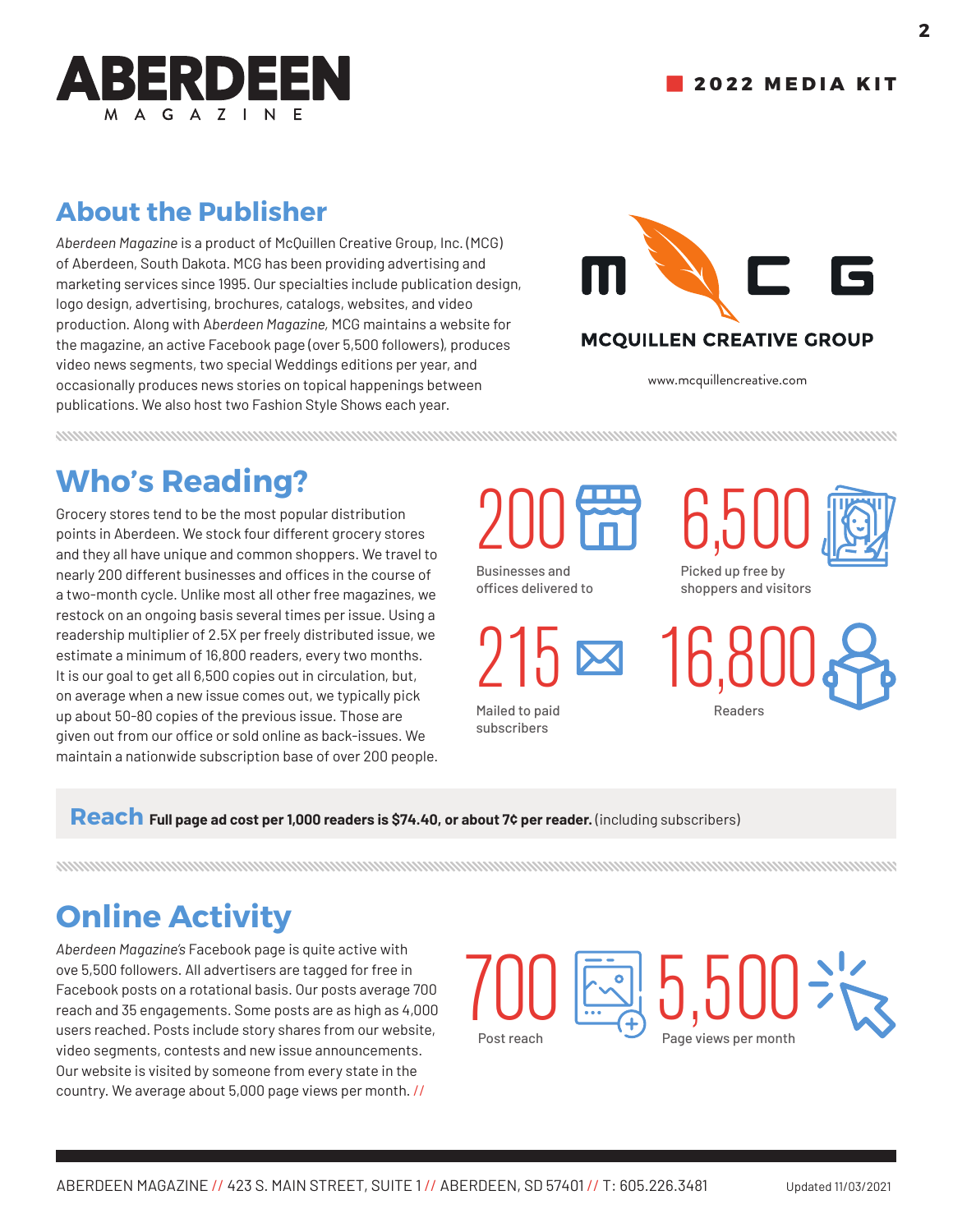

#### **2022 MEDIA KIT**

## **About the Publisher**

*Aberdeen Magazine* is a product of McQuillen Creative Group, Inc. (MCG) of Aberdeen, South Dakota. MCG has been providing advertising and marketing services since 1995. Our specialties include publication design, logo design, advertising, brochures, catalogs, websites, and video production. Along with A*berdeen Magazine,* MCG maintains a website for the magazine, an active Facebook page (over 5,500 followers), produces video news segments, two special Weddings editions per year, and occasionally produces news stories on topical happenings between publications. We also host two Fashion Style Shows each year.



www.mcquillencreative.com

# **Who's Reading?**

Grocery stores tend to be the most popular distribution points in Aberdeen. We stock four different grocery stores and they all have unique and common shoppers. We travel to nearly 200 different businesses and offices in the course of a two-month cycle. Unlike most all other free magazines, we restock on an ongoing basis several times per issue. Using a readership multiplier of 2.5X per freely distributed issue, we estimate a minimum of 16,800 readers, every two months. It is our goal to get all 6,500 copies out in circulation, but, on average when a new issue comes out, we typically pick up about 50-80 copies of the previous issue. Those are given out from our office or sold online as back-issues. We maintain a nationwide subscription base of over 200 people. 200

Businesses and offices delivered to

215

Mailed to paid subscribers





Picked up free by shoppers and visitors

16,800 Readers

Reach Full page ad cost per 1,000 readers is \$74.40, or about 7¢ per reader. (including subscribers)

# **Online Activity**

*Aberdeen Magazine's* Facebook page is quite active with ove 5,500 followers. All advertisers are tagged for free in Facebook posts on a rotational basis. Our posts average 700 reach and 35 engagements. Some posts are as high as 4,000 users reached. Posts include story shares from our website, video segments, contests and new issue announcements. Our website is visited by someone from every state in the country. We average about 5,000 page views per month. //

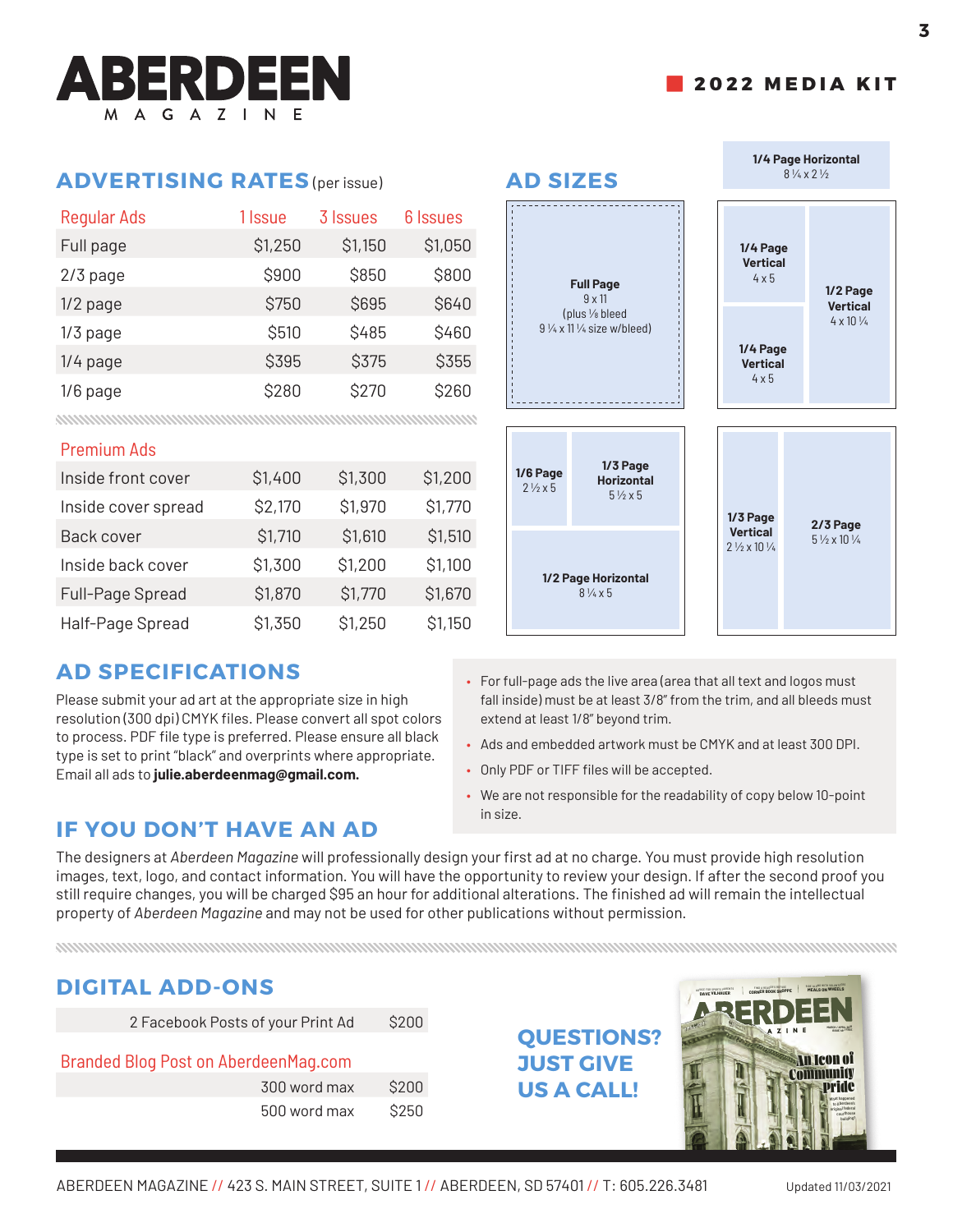#### **ADVERTISING RATES** (per issue) **AD SIZES**

| <b>Regular Ads</b> | 1 Issue | 3 Issues | 6 Issues |
|--------------------|---------|----------|----------|
| Full page          | \$1,250 | \$1,150  | \$1,050  |
| 2/3 page           | \$900   | \$850    | \$800    |
| 1/2 page           | \$750   | \$695    | \$640    |
| $1/3$ page         | \$510   | \$485    | \$460    |
| $1/4$ page         | \$395   | \$375    | \$355    |
| $1/6$ page         | \$280   | \$270    | \$260    |

#### Premium Ads

| Inside front cover  | \$1,400 | \$1,300 | \$1,200 |
|---------------------|---------|---------|---------|
| Inside cover spread | \$2,170 | \$1,970 | \$1,770 |
| <b>Back cover</b>   | \$1,710 | \$1,610 | \$1,510 |
| Inside back cover   | \$1,300 | \$1,200 | \$1,100 |
| Full-Page Spread    | \$1,870 | \$1,770 | \$1,670 |
| Half-Page Spread    | \$1,350 | \$1,250 | \$1,150 |

#### **AD SPECIFICATIONS**

Please submit your ad art at the appropriate size in high resolution (300 dpi) CMYK files. Please convert all spot colors to process. PDF file type is preferred. Please ensure all black type is set to print "black" and overprints where appropriate. Email all ads to **julie.aberdeenmag@gmail.com.**



- For full-page ads the live area (area that all text and logos must fall inside) must be at least 3/8" from the trim, and all bleeds must extend at least 1/8" beyond trim.
- Ads and embedded artwork must be CMYK and at least 300 DPI.
- Only PDF or TIFF files will be accepted.
- We are not responsible for the readability of copy below 10-point in size.

#### **IF YOU DON'T HAVE AN AD**

The designers at *Aberdeen Magazine* will professionally design your first ad at no charge. You must provide high resolution images, text, logo, and contact information. You will have the opportunity to review your design. If after the second proof you still require changes, you will be charged \$95 an hour for additional alterations. The finished ad will remain the intellectual property of *Aberdeen Magazine* and may not be used for other publications without permission.

#### **DIGITAL ADD-ONS**

| 2 Facebook Posts of your Print Ad | \$200 |
|-----------------------------------|-------|
|-----------------------------------|-------|

#### Branded Blog Post on AberdeenMag.com

| 300 word max | \$200 |
|--------------|-------|
| 500 word max | \$250 |

# **QUESTIONS? JUST GIVE US A CALL!**



 **2022 MEDIA KIT**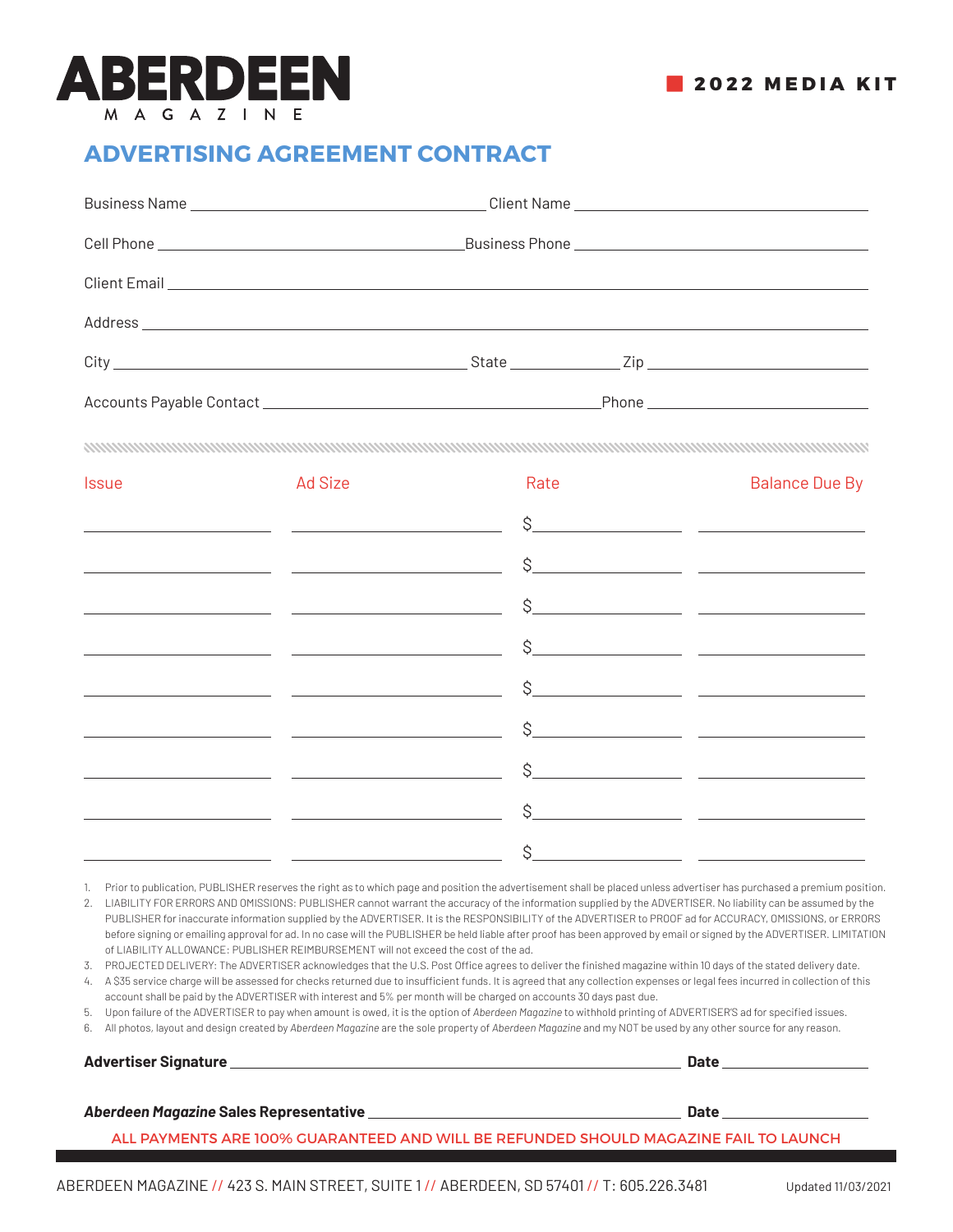

#### **ADVERTISING AGREEMENT CONTRACT**

| Address <b>Address Address Address Address Address Address Address Address Address Address Address Address Address Address Address Address Address Address Address Address Address Add</b> |  |
|--------------------------------------------------------------------------------------------------------------------------------------------------------------------------------------------|--|
|                                                                                                                                                                                            |  |
|                                                                                                                                                                                            |  |
|                                                                                                                                                                                            |  |

| <b>Issue</b>                                  | Ad Size                                                       | Rate | <b>Balance Due By</b>                                                                                                                                                                                                                                                                                                                                              |
|-----------------------------------------------|---------------------------------------------------------------|------|--------------------------------------------------------------------------------------------------------------------------------------------------------------------------------------------------------------------------------------------------------------------------------------------------------------------------------------------------------------------|
|                                               |                                                               |      |                                                                                                                                                                                                                                                                                                                                                                    |
|                                               |                                                               |      |                                                                                                                                                                                                                                                                                                                                                                    |
|                                               | <u> 1980 - Johann John Stone, francuski politik (</u> † 1900) |      | $S$ and $S$ and $S$ and $S$ and $S$ and $S$ and $S$ and $S$ and $S$ and $S$ and $S$ and $S$ and $S$ and $S$ and $S$ and $S$ and $S$ and $S$ and $S$ and $S$ and $S$ and $S$ and $S$ and $S$ and $S$ and $S$ and $S$ and $S$ a                                                                                                                                      |
|                                               |                                                               |      |                                                                                                                                                                                                                                                                                                                                                                    |
| <u> 1990 - Johann Barnett, fransk politik</u> |                                                               |      | $\frac{1}{2}$                                                                                                                                                                                                                                                                                                                                                      |
|                                               |                                                               |      | $\begin{tabular}{c} $S_{\text{}}$ & \hspace{1.5cm} {\bf 2.11} & \hspace{1.5cm} {\bf 2.12} & \hspace{1.5cm} {\bf 2.13} & \hspace{1.5cm} {\bf 2.13} & \hspace{1.5cm} {\bf 2.13} & \hspace{1.5cm} {\bf 2.13} & \hspace{1.5cm} {\bf 2.13} & \hspace{1.5cm} {\bf 2.13} & \hspace{1.5cm} {\bf 2.13} & \hspace{1.5cm} {\bf 2.13} & \hspace{1.5cm} {\bf 2.13} & \hspace{1$ |
| <u> 1990 - Jan Barbara (</u>                  |                                                               |      | $S$ and $S$ and $S$ and $S$ and $S$ and $S$ and $S$ and $S$ and $S$ and $S$ and $S$ and $S$ and $S$ and $S$ and $S$ and $S$ and $S$ and $S$ and $S$ and $S$ and $S$ and $S$ and $S$ and $S$ and $S$ and $S$ and $S$ and $S$ a                                                                                                                                      |
|                                               |                                                               |      | $\begin{tabular}{c} $S_{\text{}}$ & \text{ }} \end{tabular}$                                                                                                                                                                                                                                                                                                       |
|                                               |                                                               |      |                                                                                                                                                                                                                                                                                                                                                                    |

1. Prior to publication, PUBLISHER reserves the right as to which page and position the advertisement shall be placed unless advertiser has purchased a premium position.

2. LIABILITY FOR ERRORS AND OMISSIONS: PUBLISHER cannot warrant the accuracy of the information supplied by the ADVERTISER. No liability can be assumed by the PUBLISHER for inaccurate information supplied by the ADVERTISER. It is the RESPONSIBILITY of the ADVERTISER to PROOF ad for ACCURACY, OMISSIONS, or ERRORS before signing or emailing approval for ad. In no case will the PUBLISHER be held liable after proof has been approved by email or signed by the ADVERTISER. LIMITATION of LIABILITY ALLOWANCE: PUBLISHER REIMBURSEMENT will not exceed the cost of the ad.

3. PROJECTED DELIVERY: The ADVERTISER acknowledges that the U.S. Post Office agrees to deliver the finished magazine within 10 days of the stated delivery date.

4. A \$35 service charge will be assessed for checks returned due to insufficient funds. It is agreed that any collection expenses or legal fees incurred in collection of this account shall be paid by the ADVERTISER with interest and 5% per month will be charged on accounts 30 days past due.

5. Upon failure of the ADVERTISER to pay when amount is owed, it is the option of *Aberdeen Magazine* to withhold printing of ADVERTISER'S ad for specified issues.

6. All photos, layout and design created by *Aberdeen Magazine* are the sole property of *Aberdeen Magazine* and my NOT be used by any other source for any reason.

**Advertiser Signature Later School School School School School School School School School School School School School School School School School School School School School School School School School School School Schoo** 

#### *Aberdeen Magazine* **Sales Representative Date <b>Date Aberdeen Magazine** Sales Representative Date **Date Aberdeen**

ALL PAYMENTS ARE 100% GUARANTEED AND WILL BE REFUNDED SHOULD MAGAZINE FAIL TO LAUNCH